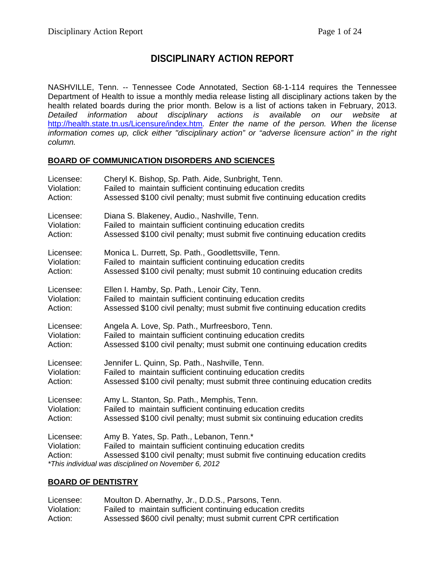# **DISCIPLINARY ACTION REPORT**

NASHVILLE, Tenn. -- Tennessee Code Annotated, Section 68-1-114 requires the Tennessee Department of Health to issue a monthly media release listing all disciplinary actions taken by the health related boards during the prior month. Below is a list of actions taken in February, 2013. *Detailed information about disciplinary actions is available on our website at*  <http://health.state.tn.us/Licensure/index.htm>*. Enter the name of the person. When the license information comes up, click either "disciplinary action" or "adverse licensure action" in the right column.*

#### **BOARD OF COMMUNICATION DISORDERS AND SCIENCES**

| Licensee:                          | Cheryl K. Bishop, Sp. Path. Aide, Sunbright, Tenn.                                                                                                                                                                                            |
|------------------------------------|-----------------------------------------------------------------------------------------------------------------------------------------------------------------------------------------------------------------------------------------------|
| Violation:                         | Failed to maintain sufficient continuing education credits                                                                                                                                                                                    |
| Action:                            | Assessed \$100 civil penalty; must submit five continuing education credits                                                                                                                                                                   |
| Licensee:                          | Diana S. Blakeney, Audio., Nashville, Tenn.                                                                                                                                                                                                   |
| Violation:                         | Failed to maintain sufficient continuing education credits                                                                                                                                                                                    |
| Action:                            | Assessed \$100 civil penalty; must submit five continuing education credits                                                                                                                                                                   |
| Licensee:                          | Monica L. Durrett, Sp. Path., Goodlettsville, Tenn.                                                                                                                                                                                           |
| Violation:                         | Failed to maintain sufficient continuing education credits                                                                                                                                                                                    |
| Action:                            | Assessed \$100 civil penalty; must submit 10 continuing education credits                                                                                                                                                                     |
| Licensee:                          | Ellen I. Hamby, Sp. Path., Lenoir City, Tenn.                                                                                                                                                                                                 |
| Violation:                         | Failed to maintain sufficient continuing education credits                                                                                                                                                                                    |
| Action:                            | Assessed \$100 civil penalty; must submit five continuing education credits                                                                                                                                                                   |
| Licensee:                          | Angela A. Love, Sp. Path., Murfreesboro, Tenn.                                                                                                                                                                                                |
| Violation:                         | Failed to maintain sufficient continuing education credits                                                                                                                                                                                    |
| Action:                            | Assessed \$100 civil penalty; must submit one continuing education credits                                                                                                                                                                    |
| Licensee:                          | Jennifer L. Quinn, Sp. Path., Nashville, Tenn.                                                                                                                                                                                                |
| Violation:                         | Failed to maintain sufficient continuing education credits                                                                                                                                                                                    |
| Action:                            | Assessed \$100 civil penalty; must submit three continuing education credits                                                                                                                                                                  |
| Licensee:                          | Amy L. Stanton, Sp. Path., Memphis, Tenn.                                                                                                                                                                                                     |
| Violation:                         | Failed to maintain sufficient continuing education credits                                                                                                                                                                                    |
| Action:                            | Assessed \$100 civil penalty; must submit six continuing education credits                                                                                                                                                                    |
| Licensee:<br>Violation:<br>Action: | Amy B. Yates, Sp. Path., Lebanon, Tenn.*<br>Failed to maintain sufficient continuing education credits<br>Assessed \$100 civil penalty; must submit five continuing education credits<br>*This individual was disciplined on November 6, 2012 |

### **BOARD OF DENTISTRY**

| Licensee:  | Moulton D. Abernathy, Jr., D.D.S., Parsons, Tenn.                   |
|------------|---------------------------------------------------------------------|
| Violation: | Failed to maintain sufficient continuing education credits          |
| Action:    | Assessed \$600 civil penalty; must submit current CPR certification |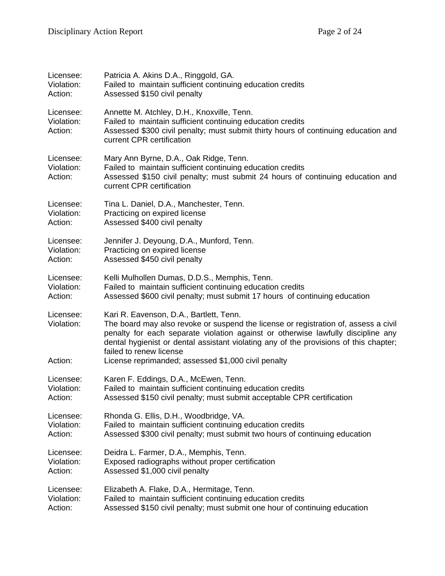| Licensee:                          | Patricia A. Akins D.A., Ringgold, GA.                                                                                                                                                                                                                                                                                                  |
|------------------------------------|----------------------------------------------------------------------------------------------------------------------------------------------------------------------------------------------------------------------------------------------------------------------------------------------------------------------------------------|
| Violation:                         | Failed to maintain sufficient continuing education credits                                                                                                                                                                                                                                                                             |
| Action:                            | Assessed \$150 civil penalty                                                                                                                                                                                                                                                                                                           |
| Licensee:<br>Violation:<br>Action: | Annette M. Atchley, D.H., Knoxville, Tenn.<br>Failed to maintain sufficient continuing education credits<br>Assessed \$300 civil penalty; must submit thirty hours of continuing education and<br>current CPR certification                                                                                                            |
| Licensee:<br>Violation:<br>Action: | Mary Ann Byrne, D.A., Oak Ridge, Tenn.<br>Failed to maintain sufficient continuing education credits<br>Assessed \$150 civil penalty; must submit 24 hours of continuing education and<br>current CPR certification                                                                                                                    |
| Licensee:                          | Tina L. Daniel, D.A., Manchester, Tenn.                                                                                                                                                                                                                                                                                                |
| Violation:                         | Practicing on expired license                                                                                                                                                                                                                                                                                                          |
| Action:                            | Assessed \$400 civil penalty                                                                                                                                                                                                                                                                                                           |
| Licensee:                          | Jennifer J. Deyoung, D.A., Munford, Tenn.                                                                                                                                                                                                                                                                                              |
| Violation:                         | Practicing on expired license                                                                                                                                                                                                                                                                                                          |
| Action:                            | Assessed \$450 civil penalty                                                                                                                                                                                                                                                                                                           |
| Licensee:                          | Kelli Mulhollen Dumas, D.D.S., Memphis, Tenn.                                                                                                                                                                                                                                                                                          |
| Violation:                         | Failed to maintain sufficient continuing education credits                                                                                                                                                                                                                                                                             |
| Action:                            | Assessed \$600 civil penalty; must submit 17 hours of continuing education                                                                                                                                                                                                                                                             |
| Licensee:<br>Violation:            | Kari R. Eavenson, D.A., Bartlett, Tenn.<br>The board may also revoke or suspend the license or registration of, assess a civil<br>penalty for each separate violation against or otherwise lawfully discipline any<br>dental hygienist or dental assistant violating any of the provisions of this chapter;<br>failed to renew license |
| Action:                            | License reprimanded; assessed \$1,000 civil penalty                                                                                                                                                                                                                                                                                    |
| Licensee:                          | Karen F. Eddings, D.A., McEwen, Tenn.                                                                                                                                                                                                                                                                                                  |
| Violation:                         | Failed to maintain sufficient continuing education credits                                                                                                                                                                                                                                                                             |
| Action:                            | Assessed \$150 civil penalty; must submit acceptable CPR certification                                                                                                                                                                                                                                                                 |
| Licensee:                          | Rhonda G. Ellis, D.H., Woodbridge, VA.                                                                                                                                                                                                                                                                                                 |
| Violation:                         | Failed to maintain sufficient continuing education credits                                                                                                                                                                                                                                                                             |
| Action:                            | Assessed \$300 civil penalty; must submit two hours of continuing education                                                                                                                                                                                                                                                            |
| Licensee:                          | Deidra L. Farmer, D.A., Memphis, Tenn.                                                                                                                                                                                                                                                                                                 |
| Violation:                         | Exposed radiographs without proper certification                                                                                                                                                                                                                                                                                       |
| Action:                            | Assessed \$1,000 civil penalty                                                                                                                                                                                                                                                                                                         |
| Licensee:                          | Elizabeth A. Flake, D.A., Hermitage, Tenn.                                                                                                                                                                                                                                                                                             |
| Violation:                         | Failed to maintain sufficient continuing education credits                                                                                                                                                                                                                                                                             |
| Action:                            | Assessed \$150 civil penalty; must submit one hour of continuing education                                                                                                                                                                                                                                                             |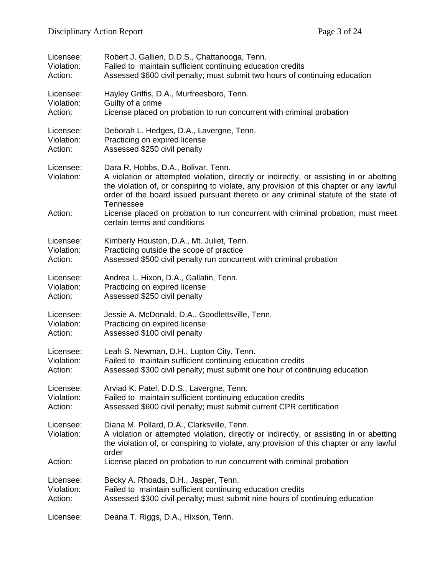| Licensee:               | Robert J. Gallien, D.D.S., Chattanooga, Tenn.                                                                                                                                                                                                                                                                                |
|-------------------------|------------------------------------------------------------------------------------------------------------------------------------------------------------------------------------------------------------------------------------------------------------------------------------------------------------------------------|
| Violation:              | Failed to maintain sufficient continuing education credits                                                                                                                                                                                                                                                                   |
| Action:                 | Assessed \$600 civil penalty; must submit two hours of continuing education                                                                                                                                                                                                                                                  |
| Licensee:               | Hayley Griffis, D.A., Murfreesboro, Tenn.                                                                                                                                                                                                                                                                                    |
| Violation:              | Guilty of a crime                                                                                                                                                                                                                                                                                                            |
| Action:                 | License placed on probation to run concurrent with criminal probation                                                                                                                                                                                                                                                        |
| Licensee:               | Deborah L. Hedges, D.A., Lavergne, Tenn.                                                                                                                                                                                                                                                                                     |
| Violation:              | Practicing on expired license                                                                                                                                                                                                                                                                                                |
| Action:                 | Assessed \$250 civil penalty                                                                                                                                                                                                                                                                                                 |
| Licensee:<br>Violation: | Dara R. Hobbs, D.A., Bolivar, Tenn.<br>A violation or attempted violation, directly or indirectly, or assisting in or abetting<br>the violation of, or conspiring to violate, any provision of this chapter or any lawful<br>order of the board issued pursuant thereto or any criminal statute of the state of<br>Tennessee |
| Action:                 | License placed on probation to run concurrent with criminal probation; must meet<br>certain terms and conditions                                                                                                                                                                                                             |
| Licensee:               | Kimberly Houston, D.A., Mt. Juliet, Tenn.                                                                                                                                                                                                                                                                                    |
| Violation:              | Practicing outside the scope of practice                                                                                                                                                                                                                                                                                     |
| Action:                 | Assessed \$500 civil penalty run concurrent with criminal probation                                                                                                                                                                                                                                                          |
| Licensee:               | Andrea L. Hixon, D.A., Gallatin, Tenn.                                                                                                                                                                                                                                                                                       |
| Violation:              | Practicing on expired license                                                                                                                                                                                                                                                                                                |
| Action:                 | Assessed \$250 civil penalty                                                                                                                                                                                                                                                                                                 |
| Licensee:               | Jessie A. McDonald, D.A., Goodlettsville, Tenn.                                                                                                                                                                                                                                                                              |
| Violation:              | Practicing on expired license                                                                                                                                                                                                                                                                                                |
| Action:                 | Assessed \$100 civil penalty                                                                                                                                                                                                                                                                                                 |
| Licensee:               | Leah S. Newman, D.H., Lupton City, Tenn.                                                                                                                                                                                                                                                                                     |
| Violation:              | Failed to maintain sufficient continuing education credits                                                                                                                                                                                                                                                                   |
| Action:                 | Assessed \$300 civil penalty; must submit one hour of continuing education                                                                                                                                                                                                                                                   |
| Licensee:               | Arviad K. Patel, D.D.S., Lavergne, Tenn.                                                                                                                                                                                                                                                                                     |
| Violation:              | Failed to maintain sufficient continuing education credits                                                                                                                                                                                                                                                                   |
| Action:                 | Assessed \$600 civil penalty; must submit current CPR certification                                                                                                                                                                                                                                                          |
| Licensee:<br>Violation: | Diana M. Pollard, D.A., Clarksville, Tenn.<br>A violation or attempted violation, directly or indirectly, or assisting in or abetting<br>the violation of, or conspiring to violate, any provision of this chapter or any lawful<br>order                                                                                    |
| Action:                 | License placed on probation to run concurrent with criminal probation                                                                                                                                                                                                                                                        |
| Licensee:               | Becky A. Rhoads, D.H., Jasper, Tenn.                                                                                                                                                                                                                                                                                         |
| Violation:              | Failed to maintain sufficient continuing education credits                                                                                                                                                                                                                                                                   |
| Action:                 | Assessed \$300 civil penalty; must submit nine hours of continuing education                                                                                                                                                                                                                                                 |
| Licensee:               | Deana T. Riggs, D.A., Hixson, Tenn.                                                                                                                                                                                                                                                                                          |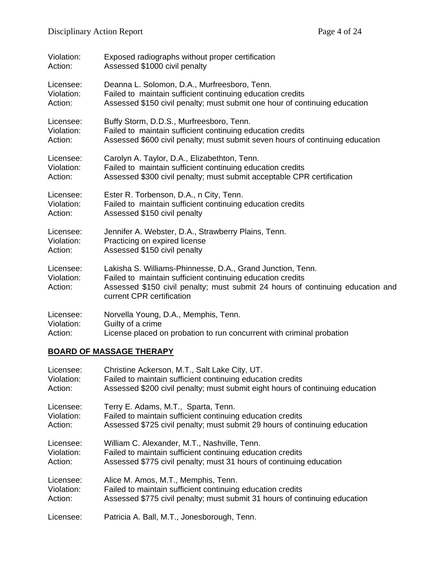| Violation:                         | Exposed radiographs without proper certification                                                                                                                                                                                        |
|------------------------------------|-----------------------------------------------------------------------------------------------------------------------------------------------------------------------------------------------------------------------------------------|
| Action:                            | Assessed \$1000 civil penalty                                                                                                                                                                                                           |
| Licensee:                          | Deanna L. Solomon, D.A., Murfreesboro, Tenn.                                                                                                                                                                                            |
| Violation:                         | Failed to maintain sufficient continuing education credits                                                                                                                                                                              |
| Action:                            | Assessed \$150 civil penalty; must submit one hour of continuing education                                                                                                                                                              |
| Licensee:                          | Buffy Storm, D.D.S., Murfreesboro, Tenn.                                                                                                                                                                                                |
| Violation:                         | Failed to maintain sufficient continuing education credits                                                                                                                                                                              |
| Action:                            | Assessed \$600 civil penalty; must submit seven hours of continuing education                                                                                                                                                           |
| Licensee:                          | Carolyn A. Taylor, D.A., Elizabethton, Tenn.                                                                                                                                                                                            |
| Violation:                         | Failed to maintain sufficient continuing education credits                                                                                                                                                                              |
| Action:                            | Assessed \$300 civil penalty; must submit acceptable CPR certification                                                                                                                                                                  |
| Licensee:                          | Ester R. Torbenson, D.A., n City, Tenn.                                                                                                                                                                                                 |
| Violation:                         | Failed to maintain sufficient continuing education credits                                                                                                                                                                              |
| Action:                            | Assessed \$150 civil penalty                                                                                                                                                                                                            |
| Licensee:                          | Jennifer A. Webster, D.A., Strawberry Plains, Tenn.                                                                                                                                                                                     |
| Violation:                         | Practicing on expired license                                                                                                                                                                                                           |
| Action:                            | Assessed \$150 civil penalty                                                                                                                                                                                                            |
| Licensee:<br>Violation:<br>Action: | Lakisha S. Williams-Phinnesse, D.A., Grand Junction, Tenn.<br>Failed to maintain sufficient continuing education credits<br>Assessed \$150 civil penalty; must submit 24 hours of continuing education and<br>current CPR certification |
| Licensee:                          | Norvella Young, D.A., Memphis, Tenn.                                                                                                                                                                                                    |
| Violation:                         | Guilty of a crime                                                                                                                                                                                                                       |
| Action:                            | License placed on probation to run concurrent with criminal probation                                                                                                                                                                   |

# **BOARD OF MASSAGE THERAPY**

| Licensee:  | Christine Ackerson, M.T., Salt Lake City, UT.                                 |
|------------|-------------------------------------------------------------------------------|
| Violation: | Failed to maintain sufficient continuing education credits                    |
| Action:    | Assessed \$200 civil penalty; must submit eight hours of continuing education |
| Licensee:  | Terry E. Adams, M.T., Sparta, Tenn.                                           |
| Violation: | Failed to maintain sufficient continuing education credits                    |
| Action:    | Assessed \$725 civil penalty; must submit 29 hours of continuing education    |
| Licensee:  | William C. Alexander, M.T., Nashville, Tenn.                                  |
| Violation: | Failed to maintain sufficient continuing education credits                    |
| Action:    | Assessed \$775 civil penalty; must 31 hours of continuing education           |
| Licensee:  | Alice M. Amos, M.T., Memphis, Tenn.                                           |
| Violation: | Failed to maintain sufficient continuing education credits                    |
| Action:    | Assessed \$775 civil penalty; must submit 31 hours of continuing education    |
| Licensee:  | Patricia A. Ball, M.T., Jonesborough, Tenn.                                   |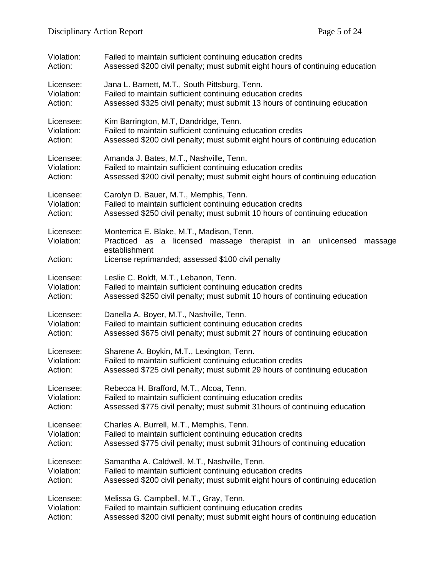| Violation:              | Failed to maintain sufficient continuing education credits                                                                          |
|-------------------------|-------------------------------------------------------------------------------------------------------------------------------------|
| Action:                 | Assessed \$200 civil penalty; must submit eight hours of continuing education                                                       |
| Licensee:               | Jana L. Barnett, M.T., South Pittsburg, Tenn.                                                                                       |
| Violation:              | Failed to maintain sufficient continuing education credits                                                                          |
| Action:                 | Assessed \$325 civil penalty; must submit 13 hours of continuing education                                                          |
| Licensee:               | Kim Barrington, M.T, Dandridge, Tenn.                                                                                               |
| Violation:              | Failed to maintain sufficient continuing education credits                                                                          |
| Action:                 | Assessed \$200 civil penalty; must submit eight hours of continuing education                                                       |
| Licensee:               | Amanda J. Bates, M.T., Nashville, Tenn.                                                                                             |
| Violation:              | Failed to maintain sufficient continuing education credits                                                                          |
| Action:                 | Assessed \$200 civil penalty; must submit eight hours of continuing education                                                       |
| Licensee:               | Carolyn D. Bauer, M.T., Memphis, Tenn.                                                                                              |
| Violation:              | Failed to maintain sufficient continuing education credits                                                                          |
| Action:                 | Assessed \$250 civil penalty; must submit 10 hours of continuing education                                                          |
| Licensee:<br>Violation: | Monterrica E. Blake, M.T., Madison, Tenn.<br>Practiced as a licensed massage therapist in an unlicensed<br>massage<br>establishment |
| Action:                 | License reprimanded; assessed \$100 civil penalty                                                                                   |
| Licensee:               | Leslie C. Boldt, M.T., Lebanon, Tenn.                                                                                               |
| Violation:              | Failed to maintain sufficient continuing education credits                                                                          |
| Action:                 | Assessed \$250 civil penalty; must submit 10 hours of continuing education                                                          |
| Licensee:               | Danella A. Boyer, M.T., Nashville, Tenn.                                                                                            |
| Violation:              | Failed to maintain sufficient continuing education credits                                                                          |
| Action:                 | Assessed \$675 civil penalty; must submit 27 hours of continuing education                                                          |
| Licensee:               | Sharene A. Boykin, M.T., Lexington, Tenn.                                                                                           |
| Violation:              | Failed to maintain sufficient continuing education credits                                                                          |
| Action:                 | Assessed \$725 civil penalty; must submit 29 hours of continuing education                                                          |
| Licensee:               | Rebecca H. Brafford, M.T., Alcoa, Tenn.                                                                                             |
| Violation:              | Failed to maintain sufficient continuing education credits                                                                          |
| Action:                 | Assessed \$775 civil penalty; must submit 31 hours of continuing education                                                          |
| Licensee:               | Charles A. Burrell, M.T., Memphis, Tenn.                                                                                            |
| Violation:              | Failed to maintain sufficient continuing education credits                                                                          |
| Action:                 | Assessed \$775 civil penalty; must submit 31 hours of continuing education                                                          |
| Licensee:               | Samantha A. Caldwell, M.T., Nashville, Tenn.                                                                                        |
| Violation:              | Failed to maintain sufficient continuing education credits                                                                          |
| Action:                 | Assessed \$200 civil penalty; must submit eight hours of continuing education                                                       |
| Licensee:               | Melissa G. Campbell, M.T., Gray, Tenn.                                                                                              |
| Violation:              | Failed to maintain sufficient continuing education credits                                                                          |
| Action:                 | Assessed \$200 civil penalty; must submit eight hours of continuing education                                                       |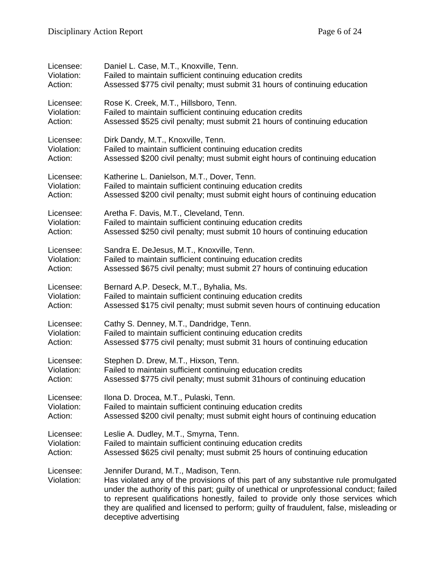| Licensee:               | Daniel L. Case, M.T., Knoxville, Tenn.                                                                                                                                                                                                                                                                                                                                                                                          |
|-------------------------|---------------------------------------------------------------------------------------------------------------------------------------------------------------------------------------------------------------------------------------------------------------------------------------------------------------------------------------------------------------------------------------------------------------------------------|
| Violation:              | Failed to maintain sufficient continuing education credits                                                                                                                                                                                                                                                                                                                                                                      |
| Action:                 | Assessed \$775 civil penalty; must submit 31 hours of continuing education                                                                                                                                                                                                                                                                                                                                                      |
| Licensee:               | Rose K. Creek, M.T., Hillsboro, Tenn.                                                                                                                                                                                                                                                                                                                                                                                           |
| Violation:              | Failed to maintain sufficient continuing education credits                                                                                                                                                                                                                                                                                                                                                                      |
| Action:                 | Assessed \$525 civil penalty; must submit 21 hours of continuing education                                                                                                                                                                                                                                                                                                                                                      |
| Licensee:               | Dirk Dandy, M.T., Knoxville, Tenn.                                                                                                                                                                                                                                                                                                                                                                                              |
| Violation:              | Failed to maintain sufficient continuing education credits                                                                                                                                                                                                                                                                                                                                                                      |
| Action:                 | Assessed \$200 civil penalty; must submit eight hours of continuing education                                                                                                                                                                                                                                                                                                                                                   |
| Licensee:               | Katherine L. Danielson, M.T., Dover, Tenn.                                                                                                                                                                                                                                                                                                                                                                                      |
| Violation:              | Failed to maintain sufficient continuing education credits                                                                                                                                                                                                                                                                                                                                                                      |
| Action:                 | Assessed \$200 civil penalty; must submit eight hours of continuing education                                                                                                                                                                                                                                                                                                                                                   |
| Licensee:               | Aretha F. Davis, M.T., Cleveland, Tenn.                                                                                                                                                                                                                                                                                                                                                                                         |
| Violation:              | Failed to maintain sufficient continuing education credits                                                                                                                                                                                                                                                                                                                                                                      |
| Action:                 | Assessed \$250 civil penalty; must submit 10 hours of continuing education                                                                                                                                                                                                                                                                                                                                                      |
| Licensee:               | Sandra E. DeJesus, M.T., Knoxville, Tenn.                                                                                                                                                                                                                                                                                                                                                                                       |
| Violation:              | Failed to maintain sufficient continuing education credits                                                                                                                                                                                                                                                                                                                                                                      |
| Action:                 | Assessed \$675 civil penalty; must submit 27 hours of continuing education                                                                                                                                                                                                                                                                                                                                                      |
| Licensee:               | Bernard A.P. Deseck, M.T., Byhalia, Ms.                                                                                                                                                                                                                                                                                                                                                                                         |
| Violation:              | Failed to maintain sufficient continuing education credits                                                                                                                                                                                                                                                                                                                                                                      |
| Action:                 | Assessed \$175 civil penalty; must submit seven hours of continuing education                                                                                                                                                                                                                                                                                                                                                   |
| Licensee:               | Cathy S. Denney, M.T., Dandridge, Tenn.                                                                                                                                                                                                                                                                                                                                                                                         |
| Violation:              | Failed to maintain sufficient continuing education credits                                                                                                                                                                                                                                                                                                                                                                      |
| Action:                 | Assessed \$775 civil penalty; must submit 31 hours of continuing education                                                                                                                                                                                                                                                                                                                                                      |
| Licensee:               | Stephen D. Drew, M.T., Hixson, Tenn.                                                                                                                                                                                                                                                                                                                                                                                            |
| Violation:              | Failed to maintain sufficient continuing education credits                                                                                                                                                                                                                                                                                                                                                                      |
| Action:                 | Assessed \$775 civil penalty; must submit 31 hours of continuing education                                                                                                                                                                                                                                                                                                                                                      |
| Licensee:               | Ilona D. Drocea, M.T., Pulaski, Tenn.                                                                                                                                                                                                                                                                                                                                                                                           |
| Violation:              | Failed to maintain sufficient continuing education credits                                                                                                                                                                                                                                                                                                                                                                      |
| Action:                 | Assessed \$200 civil penalty; must submit eight hours of continuing education                                                                                                                                                                                                                                                                                                                                                   |
| Licensee:               | Leslie A. Dudley, M.T., Smyrna, Tenn.                                                                                                                                                                                                                                                                                                                                                                                           |
| Violation:              | Failed to maintain sufficient continuing education credits                                                                                                                                                                                                                                                                                                                                                                      |
| Action:                 | Assessed \$625 civil penalty; must submit 25 hours of continuing education                                                                                                                                                                                                                                                                                                                                                      |
| Licensee:<br>Violation: | Jennifer Durand, M.T., Madison, Tenn.<br>Has violated any of the provisions of this part of any substantive rule promulgated<br>under the authority of this part; guilty of unethical or unprofessional conduct; failed<br>to represent qualifications honestly, failed to provide only those services which<br>they are qualified and licensed to perform; guilty of fraudulent, false, misleading or<br>deceptive advertising |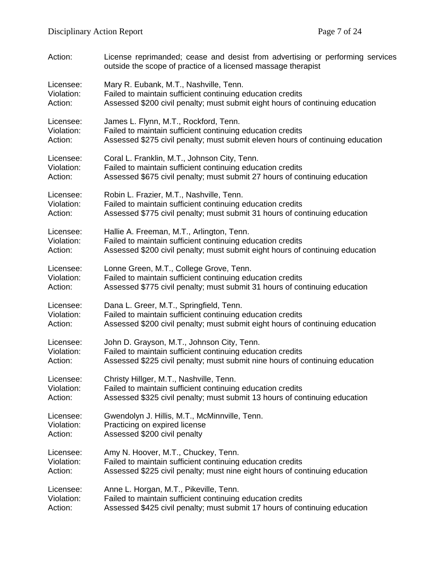| Action:    | License reprimanded; cease and desist from advertising or performing services<br>outside the scope of practice of a licensed massage therapist |
|------------|------------------------------------------------------------------------------------------------------------------------------------------------|
| Licensee:  | Mary R. Eubank, M.T., Nashville, Tenn.                                                                                                         |
| Violation: | Failed to maintain sufficient continuing education credits                                                                                     |
| Action:    | Assessed \$200 civil penalty; must submit eight hours of continuing education                                                                  |
| Licensee:  | James L. Flynn, M.T., Rockford, Tenn.                                                                                                          |
| Violation: | Failed to maintain sufficient continuing education credits                                                                                     |
| Action:    | Assessed \$275 civil penalty; must submit eleven hours of continuing education                                                                 |
| Licensee:  | Coral L. Franklin, M.T., Johnson City, Tenn.                                                                                                   |
| Violation: | Failed to maintain sufficient continuing education credits                                                                                     |
| Action:    | Assessed \$675 civil penalty; must submit 27 hours of continuing education                                                                     |
| Licensee:  | Robin L. Frazier, M.T., Nashville, Tenn.                                                                                                       |
| Violation: | Failed to maintain sufficient continuing education credits                                                                                     |
| Action:    | Assessed \$775 civil penalty; must submit 31 hours of continuing education                                                                     |
| Licensee:  | Hallie A. Freeman, M.T., Arlington, Tenn.                                                                                                      |
| Violation: | Failed to maintain sufficient continuing education credits                                                                                     |
| Action:    | Assessed \$200 civil penalty; must submit eight hours of continuing education                                                                  |
| Licensee:  | Lonne Green, M.T., College Grove, Tenn.                                                                                                        |
| Violation: | Failed to maintain sufficient continuing education credits                                                                                     |
| Action:    | Assessed \$775 civil penalty; must submit 31 hours of continuing education                                                                     |
| Licensee:  | Dana L. Greer, M.T., Springfield, Tenn.                                                                                                        |
| Violation: | Failed to maintain sufficient continuing education credits                                                                                     |
| Action:    | Assessed \$200 civil penalty; must submit eight hours of continuing education                                                                  |
| Licensee:  | John D. Grayson, M.T., Johnson City, Tenn.                                                                                                     |
| Violation: | Failed to maintain sufficient continuing education credits                                                                                     |
| Action:    | Assessed \$225 civil penalty; must submit nine hours of continuing education                                                                   |
| Licensee:  | Christy Hillger, M.T., Nashville, Tenn.                                                                                                        |
| Violation: | Failed to maintain sufficient continuing education credits                                                                                     |
| Action:    | Assessed \$325 civil penalty; must submit 13 hours of continuing education                                                                     |
| Licensee:  | Gwendolyn J. Hillis, M.T., McMinnville, Tenn.                                                                                                  |
| Violation: | Practicing on expired license                                                                                                                  |
| Action:    | Assessed \$200 civil penalty                                                                                                                   |
| Licensee:  | Amy N. Hoover, M.T., Chuckey, Tenn.                                                                                                            |
| Violation: | Failed to maintain sufficient continuing education credits                                                                                     |
| Action:    | Assessed \$225 civil penalty; must nine eight hours of continuing education                                                                    |
| Licensee:  | Anne L. Horgan, M.T., Pikeville, Tenn.                                                                                                         |
| Violation: | Failed to maintain sufficient continuing education credits                                                                                     |
| Action:    | Assessed \$425 civil penalty; must submit 17 hours of continuing education                                                                     |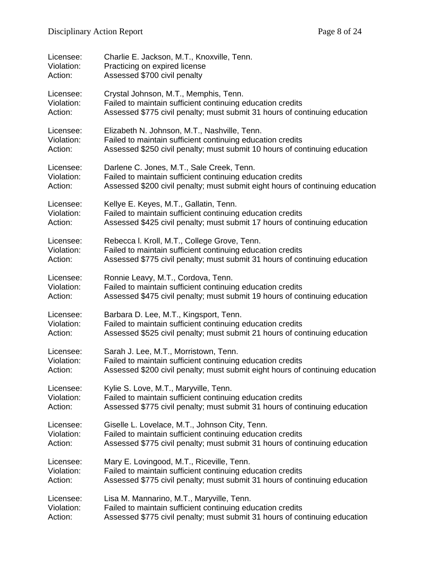| Licensee:  | Charlie E. Jackson, M.T., Knoxville, Tenn.                                    |
|------------|-------------------------------------------------------------------------------|
| Violation: | Practicing on expired license                                                 |
| Action:    | Assessed \$700 civil penalty                                                  |
| Licensee:  | Crystal Johnson, M.T., Memphis, Tenn.                                         |
| Violation: | Failed to maintain sufficient continuing education credits                    |
| Action:    | Assessed \$775 civil penalty; must submit 31 hours of continuing education    |
| Licensee:  | Elizabeth N. Johnson, M.T., Nashville, Tenn.                                  |
| Violation: | Failed to maintain sufficient continuing education credits                    |
| Action:    | Assessed \$250 civil penalty; must submit 10 hours of continuing education    |
| Licensee:  | Darlene C. Jones, M.T., Sale Creek, Tenn.                                     |
| Violation: | Failed to maintain sufficient continuing education credits                    |
| Action:    | Assessed \$200 civil penalty; must submit eight hours of continuing education |
| Licensee:  | Kellye E. Keyes, M.T., Gallatin, Tenn.                                        |
| Violation: | Failed to maintain sufficient continuing education credits                    |
| Action:    | Assessed \$425 civil penalty; must submit 17 hours of continuing education    |
| Licensee:  | Rebecca I. Kroll, M.T., College Grove, Tenn.                                  |
| Violation: | Failed to maintain sufficient continuing education credits                    |
| Action:    | Assessed \$775 civil penalty; must submit 31 hours of continuing education    |
| Licensee:  | Ronnie Leavy, M.T., Cordova, Tenn.                                            |
| Violation: | Failed to maintain sufficient continuing education credits                    |
| Action:    | Assessed \$475 civil penalty; must submit 19 hours of continuing education    |
| Licensee:  | Barbara D. Lee, M.T., Kingsport, Tenn.                                        |
| Violation: | Failed to maintain sufficient continuing education credits                    |
| Action:    | Assessed \$525 civil penalty; must submit 21 hours of continuing education    |
| Licensee:  | Sarah J. Lee, M.T., Morristown, Tenn.                                         |
| Violation: | Failed to maintain sufficient continuing education credits                    |
| Action:    | Assessed \$200 civil penalty; must submit eight hours of continuing education |
| Licensee:  | Kylie S. Love, M.T., Maryville, Tenn.                                         |
| Violation: | Failed to maintain sufficient continuing education credits                    |
| Action:    | Assessed \$775 civil penalty; must submit 31 hours of continuing education    |
| Licensee:  | Giselle L. Lovelace, M.T., Johnson City, Tenn.                                |
| Violation: | Failed to maintain sufficient continuing education credits                    |
| Action:    | Assessed \$775 civil penalty; must submit 31 hours of continuing education    |
| Licensee:  | Mary E. Lovingood, M.T., Riceville, Tenn.                                     |
| Violation: | Failed to maintain sufficient continuing education credits                    |
| Action:    | Assessed \$775 civil penalty; must submit 31 hours of continuing education    |
| Licensee:  | Lisa M. Mannarino, M.T., Maryville, Tenn.                                     |
| Violation: | Failed to maintain sufficient continuing education credits                    |
| Action:    | Assessed \$775 civil penalty; must submit 31 hours of continuing education    |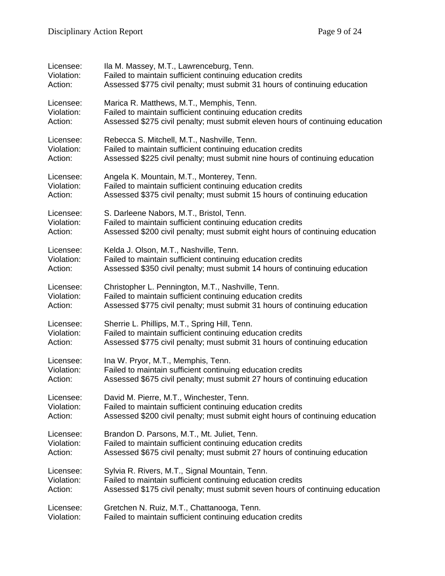| Licensee:  | Ila M. Massey, M.T., Lawrenceburg, Tenn.                                       |
|------------|--------------------------------------------------------------------------------|
| Violation: | Failed to maintain sufficient continuing education credits                     |
| Action:    | Assessed \$775 civil penalty; must submit 31 hours of continuing education     |
| Licensee:  | Marica R. Matthews, M.T., Memphis, Tenn.                                       |
| Violation: | Failed to maintain sufficient continuing education credits                     |
| Action:    | Assessed \$275 civil penalty; must submit eleven hours of continuing education |
| Licensee:  | Rebecca S. Mitchell, M.T., Nashville, Tenn.                                    |
| Violation: | Failed to maintain sufficient continuing education credits                     |
| Action:    | Assessed \$225 civil penalty; must submit nine hours of continuing education   |
| Licensee:  | Angela K. Mountain, M.T., Monterey, Tenn.                                      |
| Violation: | Failed to maintain sufficient continuing education credits                     |
| Action:    | Assessed \$375 civil penalty; must submit 15 hours of continuing education     |
| Licensee:  | S. Darleene Nabors, M.T., Bristol, Tenn.                                       |
| Violation: | Failed to maintain sufficient continuing education credits                     |
| Action:    | Assessed \$200 civil penalty; must submit eight hours of continuing education  |
| Licensee:  | Kelda J. Olson, M.T., Nashville, Tenn.                                         |
| Violation: | Failed to maintain sufficient continuing education credits                     |
| Action:    | Assessed \$350 civil penalty; must submit 14 hours of continuing education     |
| Licensee:  | Christopher L. Pennington, M.T., Nashville, Tenn.                              |
| Violation: | Failed to maintain sufficient continuing education credits                     |
| Action:    | Assessed \$775 civil penalty; must submit 31 hours of continuing education     |
| Licensee:  | Sherrie L. Phillips, M.T., Spring Hill, Tenn.                                  |
| Violation: | Failed to maintain sufficient continuing education credits                     |
| Action:    | Assessed \$775 civil penalty; must submit 31 hours of continuing education     |
| Licensee:  | Ina W. Pryor, M.T., Memphis, Tenn.                                             |
| Violation: | Failed to maintain sufficient continuing education credits                     |
| Action:    | Assessed \$675 civil penalty; must submit 27 hours of continuing education     |
| Licensee:  | David M. Pierre, M.T., Winchester, Tenn.                                       |
| Violation: | Failed to maintain sufficient continuing education credits                     |
| Action:    | Assessed \$200 civil penalty; must submit eight hours of continuing education  |
| Licensee:  | Brandon D. Parsons, M.T., Mt. Juliet, Tenn.                                    |
| Violation: | Failed to maintain sufficient continuing education credits                     |
| Action:    | Assessed \$675 civil penalty; must submit 27 hours of continuing education     |
| Licensee:  | Sylvia R. Rivers, M.T., Signal Mountain, Tenn.                                 |
| Violation: | Failed to maintain sufficient continuing education credits                     |
| Action:    | Assessed \$175 civil penalty; must submit seven hours of continuing education  |
| Licensee:  | Gretchen N. Ruiz, M.T., Chattanooga, Tenn.                                     |
| Violation: | Failed to maintain sufficient continuing education credits                     |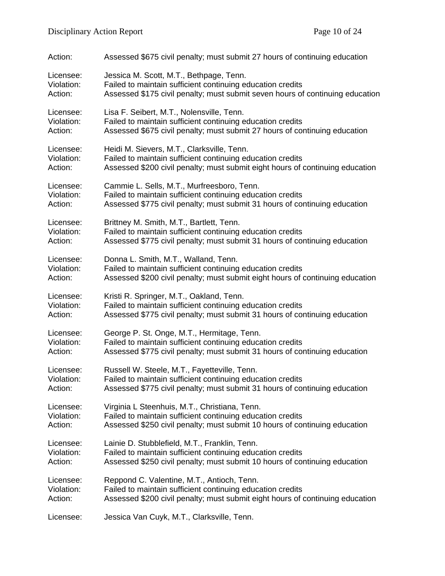| Action:    | Assessed \$675 civil penalty; must submit 27 hours of continuing education    |
|------------|-------------------------------------------------------------------------------|
| Licensee:  | Jessica M. Scott, M.T., Bethpage, Tenn.                                       |
| Violation: | Failed to maintain sufficient continuing education credits                    |
| Action:    | Assessed \$175 civil penalty; must submit seven hours of continuing education |
| Licensee:  | Lisa F. Seibert, M.T., Nolensville, Tenn.                                     |
| Violation: | Failed to maintain sufficient continuing education credits                    |
| Action:    | Assessed \$675 civil penalty; must submit 27 hours of continuing education    |
| Licensee:  | Heidi M. Sievers, M.T., Clarksville, Tenn.                                    |
| Violation: | Failed to maintain sufficient continuing education credits                    |
| Action:    | Assessed \$200 civil penalty; must submit eight hours of continuing education |
| Licensee:  | Cammie L. Sells, M.T., Murfreesboro, Tenn.                                    |
| Violation: | Failed to maintain sufficient continuing education credits                    |
| Action:    | Assessed \$775 civil penalty; must submit 31 hours of continuing education    |
| Licensee:  | Brittney M. Smith, M.T., Bartlett, Tenn.                                      |
| Violation: | Failed to maintain sufficient continuing education credits                    |
| Action:    | Assessed \$775 civil penalty; must submit 31 hours of continuing education    |
| Licensee:  | Donna L. Smith, M.T., Walland, Tenn.                                          |
| Violation: | Failed to maintain sufficient continuing education credits                    |
| Action:    | Assessed \$200 civil penalty; must submit eight hours of continuing education |
| Licensee:  | Kristi R. Springer, M.T., Oakland, Tenn.                                      |
| Violation: | Failed to maintain sufficient continuing education credits                    |
| Action:    | Assessed \$775 civil penalty; must submit 31 hours of continuing education    |
| Licensee:  | George P. St. Onge, M.T., Hermitage, Tenn.                                    |
| Violation: | Failed to maintain sufficient continuing education credits                    |
| Action:    | Assessed \$775 civil penalty; must submit 31 hours of continuing education    |
| Licensee:  | Russell W. Steele, M.T., Fayetteville, Tenn.                                  |
| Violation: | Failed to maintain sufficient continuing education credits                    |
| Action:    | Assessed \$775 civil penalty; must submit 31 hours of continuing education    |
| Licensee:  | Virginia L Steenhuis, M.T., Christiana, Tenn.                                 |
| Violation: | Failed to maintain sufficient continuing education credits                    |
| Action:    | Assessed \$250 civil penalty; must submit 10 hours of continuing education    |
| Licensee:  | Lainie D. Stubblefield, M.T., Franklin, Tenn.                                 |
| Violation: | Failed to maintain sufficient continuing education credits                    |
| Action:    | Assessed \$250 civil penalty; must submit 10 hours of continuing education    |
| Licensee:  | Reppond C. Valentine, M.T., Antioch, Tenn.                                    |
| Violation: | Failed to maintain sufficient continuing education credits                    |
| Action:    | Assessed \$200 civil penalty; must submit eight hours of continuing education |
| Licensee:  | Jessica Van Cuyk, M.T., Clarksville, Tenn.                                    |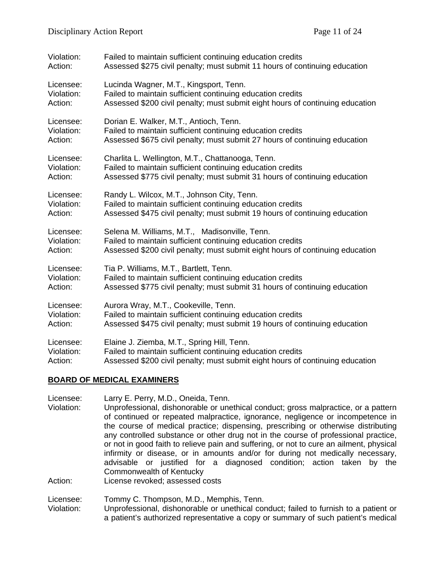| Violation: | Failed to maintain sufficient continuing education credits                    |
|------------|-------------------------------------------------------------------------------|
| Action:    | Assessed \$275 civil penalty; must submit 11 hours of continuing education    |
| Licensee:  | Lucinda Wagner, M.T., Kingsport, Tenn.                                        |
| Violation: | Failed to maintain sufficient continuing education credits                    |
| Action:    | Assessed \$200 civil penalty; must submit eight hours of continuing education |
| Licensee:  | Dorian E. Walker, M.T., Antioch, Tenn.                                        |
| Violation: | Failed to maintain sufficient continuing education credits                    |
| Action:    | Assessed \$675 civil penalty; must submit 27 hours of continuing education    |
| Licensee:  | Charlita L. Wellington, M.T., Chattanooga, Tenn.                              |
| Violation: | Failed to maintain sufficient continuing education credits                    |
| Action:    | Assessed \$775 civil penalty; must submit 31 hours of continuing education    |
| Licensee:  | Randy L. Wilcox, M.T., Johnson City, Tenn.                                    |
| Violation: | Failed to maintain sufficient continuing education credits                    |
| Action:    | Assessed \$475 civil penalty; must submit 19 hours of continuing education    |
| Licensee:  | Selena M. Williams, M.T., Madisonville, Tenn.                                 |
| Violation: | Failed to maintain sufficient continuing education credits                    |
| Action:    | Assessed \$200 civil penalty; must submit eight hours of continuing education |
| Licensee:  | Tia P. Williams, M.T., Bartlett, Tenn.                                        |
| Violation: | Failed to maintain sufficient continuing education credits                    |
| Action:    | Assessed \$775 civil penalty; must submit 31 hours of continuing education    |
| Licensee:  | Aurora Wray, M.T., Cookeville, Tenn.                                          |
| Violation: | Failed to maintain sufficient continuing education credits                    |
| Action:    | Assessed \$475 civil penalty; must submit 19 hours of continuing education    |
| Licensee:  | Elaine J. Ziemba, M.T., Spring Hill, Tenn.                                    |
| Violation: | Failed to maintain sufficient continuing education credits                    |
| Action:    | Assessed \$200 civil penalty; must submit eight hours of continuing education |

### **BOARD OF MEDICAL EXAMINERS**

Licensee: Larry E. Perry, M.D., Oneida, Tenn. Violation: Unprofessional, dishonorable or unethical conduct; gross malpractice, or a pattern of continued or repeated malpractice, ignorance, negligence or incompetence in the course of medical practice; dispensing, prescribing or otherwise distributing any controlled substance or other drug not in the course of professional practice, or not in good faith to relieve pain and suffering, or not to cure an ailment, physical infirmity or disease, or in amounts and/or for during not medically necessary, advisable or justified for a diagnosed condition; action taken by the Commonwealth of Kentucky Action: License revoked; assessed costs

Licensee: Tommy C. Thompson, M.D., Memphis, Tenn. Violation: Unprofessional, dishonorable or unethical conduct; failed to furnish to a patient or a patient's authorized representative a copy or summary of such patient's medical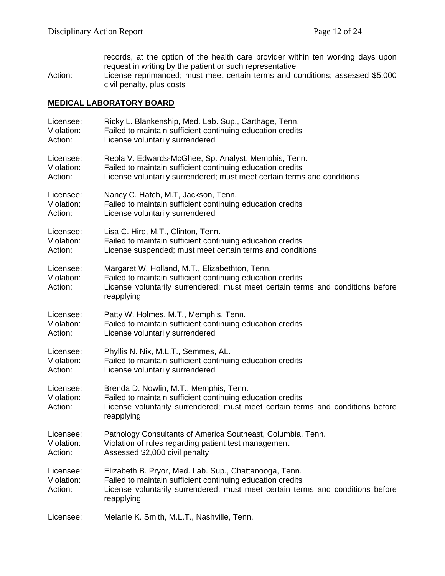records, at the option of the health care provider within ten working days upon request in writing by the patient or such representative Action: License reprimanded; must meet certain terms and conditions; assessed \$5,000 civil penalty, plus costs

#### **MEDICAL LABORATORY BOARD**

| Licensee:                          | Ricky L. Blankenship, Med. Lab. Sup., Carthage, Tenn.                                                                                                                                                                |
|------------------------------------|----------------------------------------------------------------------------------------------------------------------------------------------------------------------------------------------------------------------|
| Violation:                         | Failed to maintain sufficient continuing education credits                                                                                                                                                           |
| Action:                            | License voluntarily surrendered                                                                                                                                                                                      |
| Licensee:                          | Reola V. Edwards-McGhee, Sp. Analyst, Memphis, Tenn.                                                                                                                                                                 |
| Violation:                         | Failed to maintain sufficient continuing education credits                                                                                                                                                           |
| Action:                            | License voluntarily surrendered; must meet certain terms and conditions                                                                                                                                              |
| Licensee:                          | Nancy C. Hatch, M.T, Jackson, Tenn.                                                                                                                                                                                  |
| Violation:                         | Failed to maintain sufficient continuing education credits                                                                                                                                                           |
| Action:                            | License voluntarily surrendered                                                                                                                                                                                      |
| Licensee:                          | Lisa C. Hire, M.T., Clinton, Tenn.                                                                                                                                                                                   |
| Violation:                         | Failed to maintain sufficient continuing education credits                                                                                                                                                           |
| Action:                            | License suspended; must meet certain terms and conditions                                                                                                                                                            |
| Licensee:<br>Violation:<br>Action: | Margaret W. Holland, M.T., Elizabethton, Tenn.<br>Failed to maintain sufficient continuing education credits<br>License voluntarily surrendered; must meet certain terms and conditions before<br>reapplying         |
| Licensee:                          | Patty W. Holmes, M.T., Memphis, Tenn.                                                                                                                                                                                |
| Violation:                         | Failed to maintain sufficient continuing education credits                                                                                                                                                           |
| Action:                            | License voluntarily surrendered                                                                                                                                                                                      |
| Licensee:                          | Phyllis N. Nix, M.L.T., Semmes, AL.                                                                                                                                                                                  |
| Violation:                         | Failed to maintain sufficient continuing education credits                                                                                                                                                           |
| Action:                            | License voluntarily surrendered                                                                                                                                                                                      |
| Licensee:<br>Violation:<br>Action: | Brenda D. Nowlin, M.T., Memphis, Tenn.<br>Failed to maintain sufficient continuing education credits<br>License voluntarily surrendered; must meet certain terms and conditions before<br>reapplying                 |
| Licensee:                          | Pathology Consultants of America Southeast, Columbia, Tenn.                                                                                                                                                          |
| Violation:                         | Violation of rules regarding patient test management                                                                                                                                                                 |
| Action:                            | Assessed \$2,000 civil penalty                                                                                                                                                                                       |
| Licensee:<br>Violation:<br>Action: | Elizabeth B. Pryor, Med. Lab. Sup., Chattanooga, Tenn.<br>Failed to maintain sufficient continuing education credits<br>License voluntarily surrendered; must meet certain terms and conditions before<br>reapplying |
| Licensee:                          | Melanie K. Smith, M.L.T., Nashville, Tenn.                                                                                                                                                                           |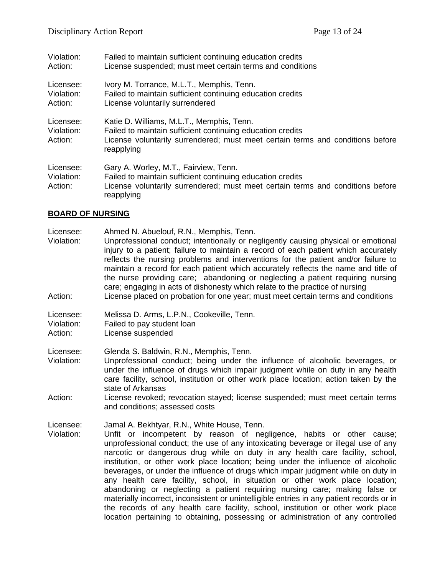| Violation:                         | Failed to maintain sufficient continuing education credits                                                                                                                                              |
|------------------------------------|---------------------------------------------------------------------------------------------------------------------------------------------------------------------------------------------------------|
| Action:                            | License suspended; must meet certain terms and conditions                                                                                                                                               |
| Licensee:                          | Ivory M. Torrance, M.L.T., Memphis, Tenn.                                                                                                                                                               |
| Violation:                         | Failed to maintain sufficient continuing education credits                                                                                                                                              |
| Action:                            | License voluntarily surrendered                                                                                                                                                                         |
| Licensee:<br>Violation:<br>Action: | Katie D. Williams, M.L.T., Memphis, Tenn.<br>Failed to maintain sufficient continuing education credits<br>License voluntarily surrendered; must meet certain terms and conditions before<br>reapplying |
| Licensee:<br>Violation:<br>Action: | Gary A. Worley, M.T., Fairview, Tenn.<br>Failed to maintain sufficient continuing education credits<br>License voluntarily surrendered; must meet certain terms and conditions before<br>reapplying     |

### **BOARD OF NURSING**

| Licensee:<br>Violation:<br>Action: | Ahmed N. Abuelouf, R.N., Memphis, Tenn.<br>Unprofessional conduct; intentionally or negligently causing physical or emotional<br>injury to a patient; failure to maintain a record of each patient which accurately<br>reflects the nursing problems and interventions for the patient and/or failure to<br>maintain a record for each patient which accurately reflects the name and title of<br>the nurse providing care; abandoning or neglecting a patient requiring nursing<br>care; engaging in acts of dishonesty which relate to the practice of nursing<br>License placed on probation for one year; must meet certain terms and conditions                                                                                                                                                                |
|------------------------------------|---------------------------------------------------------------------------------------------------------------------------------------------------------------------------------------------------------------------------------------------------------------------------------------------------------------------------------------------------------------------------------------------------------------------------------------------------------------------------------------------------------------------------------------------------------------------------------------------------------------------------------------------------------------------------------------------------------------------------------------------------------------------------------------------------------------------|
| Licensee:<br>Violation:<br>Action: | Melissa D. Arms, L.P.N., Cookeville, Tenn.<br>Failed to pay student loan<br>License suspended                                                                                                                                                                                                                                                                                                                                                                                                                                                                                                                                                                                                                                                                                                                       |
| Licensee:<br>Violation:<br>Action: | Glenda S. Baldwin, R.N., Memphis, Tenn.<br>Unprofessional conduct; being under the influence of alcoholic beverages, or<br>under the influence of drugs which impair judgment while on duty in any health<br>care facility, school, institution or other work place location; action taken by the<br>state of Arkansas<br>License revoked; revocation stayed; license suspended; must meet certain terms<br>and conditions; assessed costs                                                                                                                                                                                                                                                                                                                                                                          |
| Licensee:<br>Violation:            | Jamal A. Bekhtyar, R.N., White House, Tenn.<br>Unfit or incompetent by reason of negligence, habits or other cause;<br>unprofessional conduct; the use of any intoxicating beverage or illegal use of any<br>narcotic or dangerous drug while on duty in any health care facility, school,<br>institution, or other work place location; being under the influence of alcoholic<br>beverages, or under the influence of drugs which impair judgment while on duty in<br>any health care facility, school, in situation or other work place location;<br>abandoning or neglecting a patient requiring nursing care; making false or<br>materially incorrect, inconsistent or unintelligible entries in any patient records or in<br>the records of any health care facility, school, institution or other work place |

location pertaining to obtaining, possessing or administration of any controlled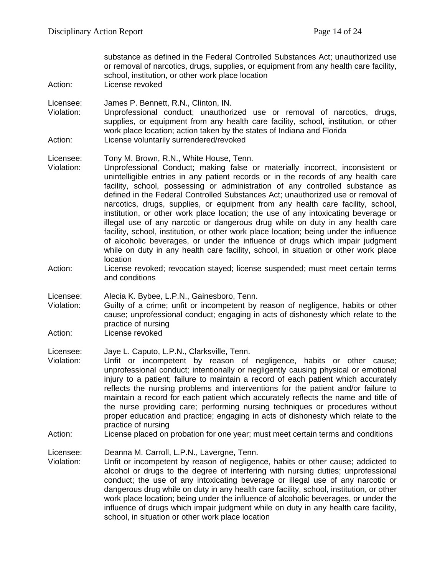substance as defined in the Federal Controlled Substances Act; unauthorized use or removal of narcotics, drugs, supplies, or equipment from any health care facility, school, institution, or other work place location

Action: License revoked

Licensee: James P. Bennett, R.N., Clinton, IN.

Violation: Unprofessional conduct; unauthorized use or removal of narcotics, drugs, supplies, or equipment from any health care facility, school, institution, or other work place location; action taken by the states of Indiana and Florida Action: License voluntarily surrendered/revoked

Licensee: Tony M. Brown, R.N., White House, Tenn.

- Violation: Unprofessional Conduct; making false or materially incorrect, inconsistent or unintelligible entries in any patient records or in the records of any health care facility, school, possessing or administration of any controlled substance as defined in the Federal Controlled Substances Act; unauthorized use or removal of narcotics, drugs, supplies, or equipment from any health care facility, school, institution, or other work place location; the use of any intoxicating beverage or illegal use of any narcotic or dangerous drug while on duty in any health care facility, school, institution, or other work place location; being under the influence of alcoholic beverages, or under the influence of drugs which impair judgment while on duty in any health care facility, school, in situation or other work place location
- Action: License revoked; revocation stayed; license suspended; must meet certain terms and conditions

Licensee: Alecia K. Bybee, L.P.N., Gainesboro, Tenn.

Violation: Guilty of a crime; unfit or incompetent by reason of negligence, habits or other cause; unprofessional conduct; engaging in acts of dishonesty which relate to the practice of nursing

Action: License revoked

Licensee: Jaye L. Caputo, L.P.N., Clarksville, Tenn.

- Violation: Unfit or incompetent by reason of negligence, habits or other cause; unprofessional conduct; intentionally or negligently causing physical or emotional injury to a patient; failure to maintain a record of each patient which accurately reflects the nursing problems and interventions for the patient and/or failure to maintain a record for each patient which accurately reflects the name and title of the nurse providing care; performing nursing techniques or procedures without proper education and practice; engaging in acts of dishonesty which relate to the practice of nursing
- Action: License placed on probation for one year; must meet certain terms and conditions

Licensee: Deanna M. Carroll, L.P.N., Lavergne, Tenn.

Violation: Unfit or incompetent by reason of negligence, habits or other cause; addicted to alcohol or drugs to the degree of interfering with nursing duties; unprofessional conduct; the use of any intoxicating beverage or illegal use of any narcotic or dangerous drug while on duty in any health care facility, school, institution, or other work place location; being under the influence of alcoholic beverages, or under the influence of drugs which impair judgment while on duty in any health care facility, school, in situation or other work place location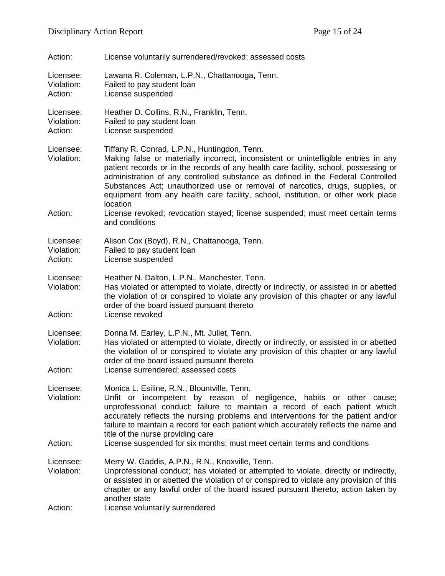| Action:                            | License voluntarily surrendered/revoked; assessed costs                                                                                                                                                                                                                                                                                                                                                                                                                                          |
|------------------------------------|--------------------------------------------------------------------------------------------------------------------------------------------------------------------------------------------------------------------------------------------------------------------------------------------------------------------------------------------------------------------------------------------------------------------------------------------------------------------------------------------------|
| Licensee:<br>Violation:<br>Action: | Lawana R. Coleman, L.P.N., Chattanooga, Tenn.<br>Failed to pay student loan<br>License suspended                                                                                                                                                                                                                                                                                                                                                                                                 |
| Licensee:<br>Violation:<br>Action: | Heather D. Collins, R.N., Franklin, Tenn.<br>Failed to pay student loan<br>License suspended                                                                                                                                                                                                                                                                                                                                                                                                     |
| Licensee:<br>Violation:            | Tiffany R. Conrad, L.P.N., Huntingdon, Tenn.<br>Making false or materially incorrect, inconsistent or unintelligible entries in any<br>patient records or in the records of any health care facility, school, possessing or<br>administration of any controlled substance as defined in the Federal Controlled<br>Substances Act; unauthorized use or removal of narcotics, drugs, supplies, or<br>equipment from any health care facility, school, institution, or other work place<br>location |
| Action:                            | License revoked; revocation stayed; license suspended; must meet certain terms<br>and conditions                                                                                                                                                                                                                                                                                                                                                                                                 |
| Licensee:<br>Violation:<br>Action: | Alison Cox (Boyd), R.N., Chattanooga, Tenn.<br>Failed to pay student loan<br>License suspended                                                                                                                                                                                                                                                                                                                                                                                                   |
| Licensee:<br>Violation:<br>Action: | Heather N. Dalton, L.P.N., Manchester, Tenn.<br>Has violated or attempted to violate, directly or indirectly, or assisted in or abetted<br>the violation of or conspired to violate any provision of this chapter or any lawful<br>order of the board issued pursuant thereto<br>License revoked                                                                                                                                                                                                 |
| Licensee:<br>Violation:<br>Action: | Donna M. Earley, L.P.N., Mt. Juliet, Tenn.<br>Has violated or attempted to violate, directly or indirectly, or assisted in or abetted<br>the violation of or conspired to violate any provision of this chapter or any lawful<br>order of the board issued pursuant thereto<br>License surrendered; assessed costs                                                                                                                                                                               |
| Licensee:<br>Violation:            | Monica L. Esiline, R.N., Blountville, Tenn.<br>Unfit or incompetent by reason of negligence, habits or other cause;<br>unprofessional conduct; failure to maintain a record of each patient which<br>accurately reflects the nursing problems and interventions for the patient and/or<br>failure to maintain a record for each patient which accurately reflects the name and<br>title of the nurse providing care                                                                              |
| Action:                            | License suspended for six months; must meet certain terms and conditions                                                                                                                                                                                                                                                                                                                                                                                                                         |
| Licensee:<br>Violation:            | Merry W. Gaddis, A.P.N., R.N., Knoxville, Tenn.<br>Unprofessional conduct; has violated or attempted to violate, directly or indirectly,<br>or assisted in or abetted the violation of or conspired to violate any provision of this<br>chapter or any lawful order of the board issued pursuant thereto; action taken by<br>another state                                                                                                                                                       |
| Action:                            | License voluntarily surrendered                                                                                                                                                                                                                                                                                                                                                                                                                                                                  |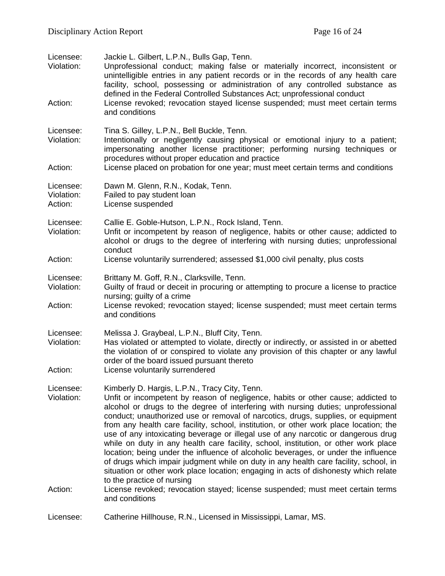| Licensee:<br>Violation:<br>Action: | Jackie L. Gilbert, L.P.N., Bulls Gap, Tenn.<br>Unprofessional conduct; making false or materially incorrect, inconsistent or<br>unintelligible entries in any patient records or in the records of any health care<br>facility, school, possessing or administration of any controlled substance as<br>defined in the Federal Controlled Substances Act; unprofessional conduct<br>License revoked; revocation stayed license suspended; must meet certain terms<br>and conditions                                                                                                                                                                                                                                                                                                                                                                                                                                                                                                     |
|------------------------------------|----------------------------------------------------------------------------------------------------------------------------------------------------------------------------------------------------------------------------------------------------------------------------------------------------------------------------------------------------------------------------------------------------------------------------------------------------------------------------------------------------------------------------------------------------------------------------------------------------------------------------------------------------------------------------------------------------------------------------------------------------------------------------------------------------------------------------------------------------------------------------------------------------------------------------------------------------------------------------------------|
| Licensee:<br>Violation:<br>Action: | Tina S. Gilley, L.P.N., Bell Buckle, Tenn.<br>Intentionally or negligently causing physical or emotional injury to a patient;<br>impersonating another license practitioner; performing nursing techniques or<br>procedures without proper education and practice<br>License placed on probation for one year; must meet certain terms and conditions                                                                                                                                                                                                                                                                                                                                                                                                                                                                                                                                                                                                                                  |
| Licensee:<br>Violation:<br>Action: | Dawn M. Glenn, R.N., Kodak, Tenn.<br>Failed to pay student loan<br>License suspended                                                                                                                                                                                                                                                                                                                                                                                                                                                                                                                                                                                                                                                                                                                                                                                                                                                                                                   |
| Licensee:<br>Violation:            | Callie E. Goble-Hutson, L.P.N., Rock Island, Tenn.<br>Unfit or incompetent by reason of negligence, habits or other cause; addicted to<br>alcohol or drugs to the degree of interfering with nursing duties; unprofessional<br>conduct                                                                                                                                                                                                                                                                                                                                                                                                                                                                                                                                                                                                                                                                                                                                                 |
| Action:                            | License voluntarily surrendered; assessed \$1,000 civil penalty, plus costs                                                                                                                                                                                                                                                                                                                                                                                                                                                                                                                                                                                                                                                                                                                                                                                                                                                                                                            |
| Licensee:<br>Violation:<br>Action: | Brittany M. Goff, R.N., Clarksville, Tenn.<br>Guilty of fraud or deceit in procuring or attempting to procure a license to practice<br>nursing; guilty of a crime<br>License revoked; revocation stayed; license suspended; must meet certain terms<br>and conditions                                                                                                                                                                                                                                                                                                                                                                                                                                                                                                                                                                                                                                                                                                                  |
| Licensee:<br>Violation:<br>Action: | Melissa J. Graybeal, L.P.N., Bluff City, Tenn.<br>Has violated or attempted to violate, directly or indirectly, or assisted in or abetted<br>the violation of or conspired to violate any provision of this chapter or any lawful<br>order of the board issued pursuant thereto<br>License voluntarily surrendered                                                                                                                                                                                                                                                                                                                                                                                                                                                                                                                                                                                                                                                                     |
| Licensee:<br>Violation:<br>Action: | Kimberly D. Hargis, L.P.N., Tracy City, Tenn.<br>Unfit or incompetent by reason of negligence, habits or other cause; addicted to<br>alcohol or drugs to the degree of interfering with nursing duties; unprofessional<br>conduct; unauthorized use or removal of narcotics, drugs, supplies, or equipment<br>from any health care facility, school, institution, or other work place location; the<br>use of any intoxicating beverage or illegal use of any narcotic or dangerous drug<br>while on duty in any health care facility, school, institution, or other work place<br>location; being under the influence of alcoholic beverages, or under the influence<br>of drugs which impair judgment while on duty in any health care facility, school, in<br>situation or other work place location; engaging in acts of dishonesty which relate<br>to the practice of nursing<br>License revoked; revocation stayed; license suspended; must meet certain terms<br>and conditions |
| Licensee:                          | Catherine Hillhouse, R.N., Licensed in Mississippi, Lamar, MS.                                                                                                                                                                                                                                                                                                                                                                                                                                                                                                                                                                                                                                                                                                                                                                                                                                                                                                                         |
|                                    |                                                                                                                                                                                                                                                                                                                                                                                                                                                                                                                                                                                                                                                                                                                                                                                                                                                                                                                                                                                        |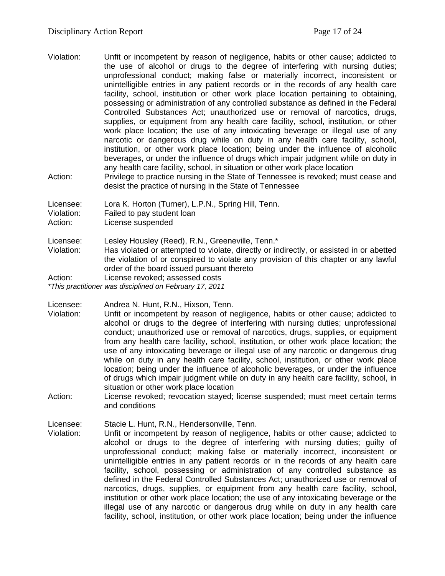- Violation: Unfit or incompetent by reason of negligence, habits or other cause; addicted to the use of alcohol or drugs to the degree of interfering with nursing duties; unprofessional conduct; making false or materially incorrect, inconsistent or unintelligible entries in any patient records or in the records of any health care facility, school, institution or other work place location pertaining to obtaining, possessing or administration of any controlled substance as defined in the Federal Controlled Substances Act; unauthorized use or removal of narcotics, drugs, supplies, or equipment from any health care facility, school, institution, or other work place location; the use of any intoxicating beverage or illegal use of any narcotic or dangerous drug while on duty in any health care facility, school, institution, or other work place location; being under the influence of alcoholic beverages, or under the influence of drugs which impair judgment while on duty in any health care facility, school, in situation or other work place location
- Action: Privilege to practice nursing in the State of Tennessee is revoked; must cease and desist the practice of nursing in the State of Tennessee

Licensee: Lora K. Horton (Turner), L.P.N., Spring Hill, Tenn.

Violation: Failed to pay student loan

Action: License suspended

Licensee: Lesley Housley (Reed), R.N., Greeneville, Tenn.\*

Violation: Has violated or attempted to violate, directly or indirectly, or assisted in or abetted the violation of or conspired to violate any provision of this chapter or any lawful order of the board issued pursuant thereto

Action: License revoked; assessed costs *\*This practitioner was disciplined on February 17, 2011*

Licensee: Andrea N. Hunt, R.N., Hixson, Tenn.<br>Violation: Unfit or incompetent by reason of ne

- Unfit or incompetent by reason of negligence, habits or other cause; addicted to alcohol or drugs to the degree of interfering with nursing duties; unprofessional conduct; unauthorized use or removal of narcotics, drugs, supplies, or equipment from any health care facility, school, institution, or other work place location; the use of any intoxicating beverage or illegal use of any narcotic or dangerous drug while on duty in any health care facility, school, institution, or other work place location; being under the influence of alcoholic beverages, or under the influence of drugs which impair judgment while on duty in any health care facility, school, in situation or other work place location
- Action: License revoked; revocation stayed; license suspended; must meet certain terms and conditions

Licensee: Stacie L. Hunt, R.N., Hendersonville, Tenn.

Violation: Unfit or incompetent by reason of negligence, habits or other cause; addicted to alcohol or drugs to the degree of interfering with nursing duties; guilty of unprofessional conduct; making false or materially incorrect, inconsistent or unintelligible entries in any patient records or in the records of any health care facility, school, possessing or administration of any controlled substance as defined in the Federal Controlled Substances Act; unauthorized use or removal of narcotics, drugs, supplies, or equipment from any health care facility, school, institution or other work place location; the use of any intoxicating beverage or the illegal use of any narcotic or dangerous drug while on duty in any health care facility, school, institution, or other work place location; being under the influence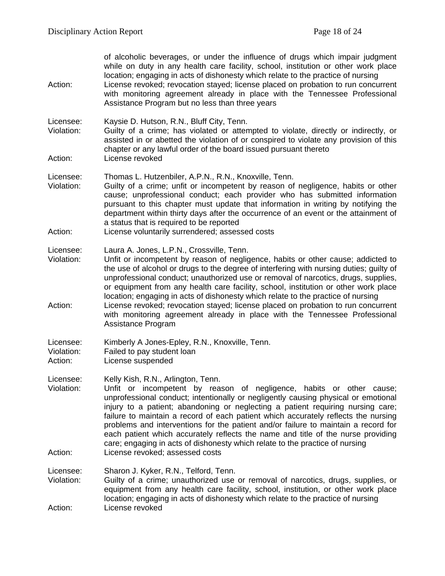| Action:                            | of alcoholic beverages, or under the influence of drugs which impair judgment<br>while on duty in any health care facility, school, institution or other work place<br>location; engaging in acts of dishonesty which relate to the practice of nursing<br>License revoked; revocation stayed; license placed on probation to run concurrent<br>with monitoring agreement already in place with the Tennessee Professional<br>Assistance Program but no less than three years                                                                                                                                                                                                      |
|------------------------------------|------------------------------------------------------------------------------------------------------------------------------------------------------------------------------------------------------------------------------------------------------------------------------------------------------------------------------------------------------------------------------------------------------------------------------------------------------------------------------------------------------------------------------------------------------------------------------------------------------------------------------------------------------------------------------------|
| Licensee:<br>Violation:<br>Action: | Kaysie D. Hutson, R.N., Bluff City, Tenn.<br>Guilty of a crime; has violated or attempted to violate, directly or indirectly, or<br>assisted in or abetted the violation of or conspired to violate any provision of this<br>chapter or any lawful order of the board issued pursuant thereto<br>License revoked                                                                                                                                                                                                                                                                                                                                                                   |
| Licensee:<br>Violation:<br>Action: | Thomas L. Hutzenbiler, A.P.N., R.N., Knoxville, Tenn.<br>Guilty of a crime; unfit or incompetent by reason of negligence, habits or other<br>cause; unprofessional conduct; each provider who has submitted information<br>pursuant to this chapter must update that information in writing by notifying the<br>department within thirty days after the occurrence of an event or the attainment of<br>a status that is required to be reported<br>License voluntarily surrendered; assessed costs                                                                                                                                                                                 |
|                                    |                                                                                                                                                                                                                                                                                                                                                                                                                                                                                                                                                                                                                                                                                    |
| Licensee:<br>Violation:<br>Action: | Laura A. Jones, L.P.N., Crossville, Tenn.<br>Unfit or incompetent by reason of negligence, habits or other cause; addicted to<br>the use of alcohol or drugs to the degree of interfering with nursing duties; guilty of<br>unprofessional conduct; unauthorized use or removal of narcotics, drugs, supplies,<br>or equipment from any health care facility, school, institution or other work place<br>location; engaging in acts of dishonesty which relate to the practice of nursing<br>License revoked; revocation stayed; license placed on probation to run concurrent<br>with monitoring agreement already in place with the Tennessee Professional<br>Assistance Program |
|                                    |                                                                                                                                                                                                                                                                                                                                                                                                                                                                                                                                                                                                                                                                                    |
| Licensee:<br>Violation:<br>Action: | Kimberly A Jones-Epley, R.N., Knoxville, Tenn.<br>Failed to pay student loan<br>License suspended                                                                                                                                                                                                                                                                                                                                                                                                                                                                                                                                                                                  |
| Licensee:<br>Violation:<br>Action: | Kelly Kish, R.N., Arlington, Tenn.<br>Unfit or incompetent by reason of negligence, habits or other cause;<br>unprofessional conduct; intentionally or negligently causing physical or emotional<br>injury to a patient; abandoning or neglecting a patient requiring nursing care;<br>failure to maintain a record of each patient which accurately reflects the nursing<br>problems and interventions for the patient and/or failure to maintain a record for<br>each patient which accurately reflects the name and title of the nurse providing<br>care; engaging in acts of dishonesty which relate to the practice of nursing<br>License revoked; assessed costs             |
|                                    |                                                                                                                                                                                                                                                                                                                                                                                                                                                                                                                                                                                                                                                                                    |
| Licensee:<br>Violation:<br>Action: | Sharon J. Kyker, R.N., Telford, Tenn.<br>Guilty of a crime; unauthorized use or removal of narcotics, drugs, supplies, or<br>equipment from any health care facility, school, institution, or other work place<br>location; engaging in acts of dishonesty which relate to the practice of nursing<br>License revoked                                                                                                                                                                                                                                                                                                                                                              |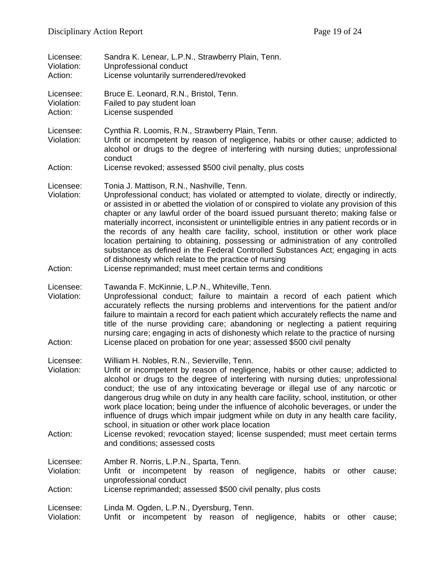| Licensee:<br>Violation:<br>Action: | Sandra K. Lenear, L.P.N., Strawberry Plain, Tenn.<br>Unprofessional conduct<br>License voluntarily surrendered/revoked                                                                                                                                                                                                                                                                                                                                                                                                                                                                                                                                                                                                                                                                              |
|------------------------------------|-----------------------------------------------------------------------------------------------------------------------------------------------------------------------------------------------------------------------------------------------------------------------------------------------------------------------------------------------------------------------------------------------------------------------------------------------------------------------------------------------------------------------------------------------------------------------------------------------------------------------------------------------------------------------------------------------------------------------------------------------------------------------------------------------------|
| Licensee:<br>Violation:<br>Action: | Bruce E. Leonard, R.N., Bristol, Tenn.<br>Failed to pay student loan<br>License suspended                                                                                                                                                                                                                                                                                                                                                                                                                                                                                                                                                                                                                                                                                                           |
| Licensee:<br>Violation:            | Cynthia R. Loomis, R.N., Strawberry Plain, Tenn.<br>Unfit or incompetent by reason of negligence, habits or other cause; addicted to<br>alcohol or drugs to the degree of interfering with nursing duties; unprofessional<br>conduct                                                                                                                                                                                                                                                                                                                                                                                                                                                                                                                                                                |
| Action:                            | License revoked; assessed \$500 civil penalty, plus costs                                                                                                                                                                                                                                                                                                                                                                                                                                                                                                                                                                                                                                                                                                                                           |
| Licensee:<br>Violation:<br>Action: | Tonia J. Mattison, R.N., Nashville, Tenn.<br>Unprofessional conduct; has violated or attempted to violate, directly or indirectly,<br>or assisted in or abetted the violation of or conspired to violate any provision of this<br>chapter or any lawful order of the board issued pursuant thereto; making false or<br>materially incorrect, inconsistent or unintelligible entries in any patient records or in<br>the records of any health care facility, school, institution or other work place<br>location pertaining to obtaining, possessing or administration of any controlled<br>substance as defined in the Federal Controlled Substances Act; engaging in acts<br>of dishonesty which relate to the practice of nursing<br>License reprimanded; must meet certain terms and conditions |
| Licensee:                          | Tawanda F. McKinnie, L.P.N., Whiteville, Tenn.                                                                                                                                                                                                                                                                                                                                                                                                                                                                                                                                                                                                                                                                                                                                                      |
| Violation:                         | Unprofessional conduct; failure to maintain a record of each patient which<br>accurately reflects the nursing problems and interventions for the patient and/or<br>failure to maintain a record for each patient which accurately reflects the name and<br>title of the nurse providing care; abandoning or neglecting a patient requiring<br>nursing care; engaging in acts of dishonesty which relate to the practice of nursing                                                                                                                                                                                                                                                                                                                                                                  |
| Action:                            | License placed on probation for one year; assessed \$500 civil penalty                                                                                                                                                                                                                                                                                                                                                                                                                                                                                                                                                                                                                                                                                                                              |
| Licensee:<br>Violation:            | William H. Nobles, R.N., Sevierville, Tenn.<br>Unfit or incompetent by reason of negligence, habits or other cause; addicted to<br>alcohol or drugs to the degree of interfering with nursing duties; unprofessional<br>conduct; the use of any intoxicating beverage or illegal use of any narcotic or<br>dangerous drug while on duty in any health care facility, school, institution, or other<br>work place location; being under the influence of alcoholic beverages, or under the<br>influence of drugs which impair judgment while on duty in any health care facility,<br>school, in situation or other work place location                                                                                                                                                               |
| Action:                            | License revoked; revocation stayed; license suspended; must meet certain terms<br>and conditions; assessed costs                                                                                                                                                                                                                                                                                                                                                                                                                                                                                                                                                                                                                                                                                    |
| Licensee:<br>Violation:            | Amber R. Norris, L.P.N., Sparta, Tenn.<br>Unfit or incompetent by reason of negligence, habits or other cause;                                                                                                                                                                                                                                                                                                                                                                                                                                                                                                                                                                                                                                                                                      |
| Action:                            | unprofessional conduct<br>License reprimanded; assessed \$500 civil penalty, plus costs                                                                                                                                                                                                                                                                                                                                                                                                                                                                                                                                                                                                                                                                                                             |
| Licensee:<br>Violation:            | Linda M. Ogden, L.P.N., Dyersburg, Tenn.<br>Unfit or incompetent by reason of negligence, habits or other cause;                                                                                                                                                                                                                                                                                                                                                                                                                                                                                                                                                                                                                                                                                    |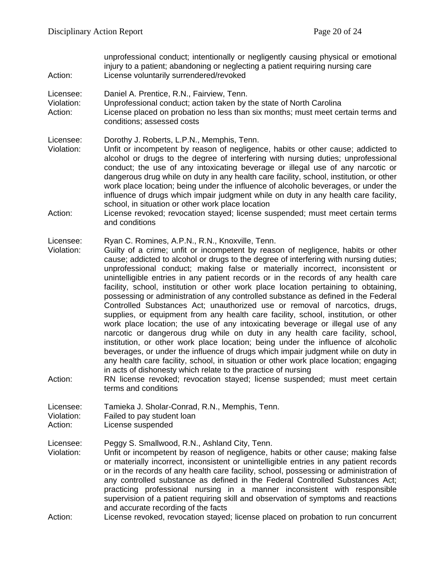unprofessional conduct; intentionally or negligently causing physical or emotional injury to a patient; abandoning or neglecting a patient requiring nursing care Action: License voluntarily surrendered/revoked Licensee: Daniel A. Prentice, R.N., Fairview, Tenn. Violation: Unprofessional conduct; action taken by the state of North Carolina Action: License placed on probation no less than six months; must meet certain terms and conditions; assessed costs Licensee: Dorothy J. Roberts, L.P.N., Memphis, Tenn. Violation: Unfit or incompetent by reason of negligence, habits or other cause; addicted to alcohol or drugs to the degree of interfering with nursing duties; unprofessional conduct; the use of any intoxicating beverage or illegal use of any narcotic or dangerous drug while on duty in any health care facility, school, institution, or other work place location; being under the influence of alcoholic beverages, or under the influence of drugs which impair judgment while on duty in any health care facility, school, in situation or other work place location Action: License revoked; revocation stayed; license suspended; must meet certain terms and conditions Licensee: Ryan C. Romines, A.P.N., R.N., Knoxville, Tenn. Violation: Guilty of a crime; unfit or incompetent by reason of negligence, habits or other cause; addicted to alcohol or drugs to the degree of interfering with nursing duties; unprofessional conduct; making false or materially incorrect, inconsistent or unintelligible entries in any patient records or in the records of any health care facility, school, institution or other work place location pertaining to obtaining, possessing or administration of any controlled substance as defined in the Federal Controlled Substances Act; unauthorized use or removal of narcotics, drugs, supplies, or equipment from any health care facility, school, institution, or other work place location; the use of any intoxicating beverage or illegal use of any narcotic or dangerous drug while on duty in any health care facility, school, institution, or other work place location; being under the influence of alcoholic beverages, or under the influence of drugs which impair judgment while on duty in any health care facility, school, in situation or other work place location; engaging in acts of dishonesty which relate to the practice of nursing Action: RN license revoked; revocation stayed; license suspended; must meet certain terms and conditions Licensee: Tamieka J. Sholar-Conrad, R.N., Memphis, Tenn.<br>Violation: Failed to pay student loan Failed to pay student loan Action: License suspended Licensee: Peggy S. Smallwood, R.N., Ashland City, Tenn. Violation: Unfit or incompetent by reason of negligence, habits or other cause; making false or materially incorrect, inconsistent or unintelligible entries in any patient records or in the records of any health care facility, school, possessing or administration of any controlled substance as defined in the Federal Controlled Substances Act; practicing professional nursing in a manner inconsistent with responsible supervision of a patient requiring skill and observation of symptoms and reactions and accurate recording of the facts Action: License revoked, revocation stayed; license placed on probation to run concurrent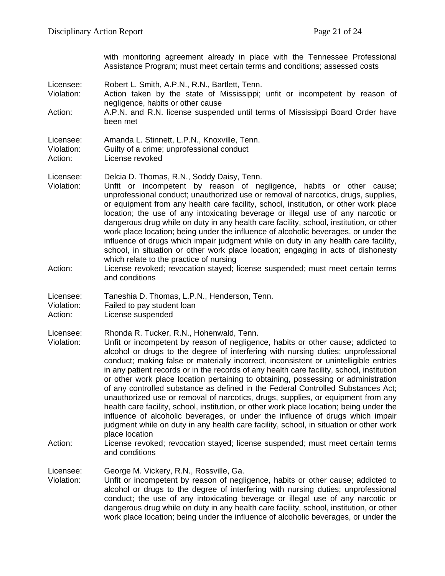with monitoring agreement already in place with the Tennessee Professional Assistance Program; must meet certain terms and conditions; assessed costs

- Licensee: Robert L. Smith, A.P.N., R.N., Bartlett, Tenn.
- Violation: Action taken by the state of Mississippi; unfit or incompetent by reason of negligence, habits or other cause
- Action: A.P.N. and R.N. license suspended until terms of Mississippi Board Order have been met

Licensee: Delcia D. Thomas, R.N., Soddy Daisy, Tenn.

- Violation: Unfit or incompetent by reason of negligence, habits or other cause; unprofessional conduct; unauthorized use or removal of narcotics, drugs, supplies, or equipment from any health care facility, school, institution, or other work place location; the use of any intoxicating beverage or illegal use of any narcotic or dangerous drug while on duty in any health care facility, school, institution, or other work place location; being under the influence of alcoholic beverages, or under the influence of drugs which impair judgment while on duty in any health care facility, school, in situation or other work place location; engaging in acts of dishonesty which relate to the practice of nursing
- Action: License revoked; revocation stayed; license suspended; must meet certain terms and conditions
- Licensee: Taneshia D. Thomas, L.P.N., Henderson, Tenn.
- Violation: Failed to pay student loan
- Action: License suspended

Licensee: Rhonda R. Tucker, R.N., Hohenwald, Tenn.

- Violation: Unfit or incompetent by reason of negligence, habits or other cause; addicted to alcohol or drugs to the degree of interfering with nursing duties; unprofessional conduct; making false or materially incorrect, inconsistent or unintelligible entries in any patient records or in the records of any health care facility, school, institution or other work place location pertaining to obtaining, possessing or administration of any controlled substance as defined in the Federal Controlled Substances Act; unauthorized use or removal of narcotics, drugs, supplies, or equipment from any health care facility, school, institution, or other work place location; being under the influence of alcoholic beverages, or under the influence of drugs which impair judgment while on duty in any health care facility, school, in situation or other work place location
- Action: License revoked; revocation stayed; license suspended; must meet certain terms and conditions

Licensee: George M. Vickery, R.N., Rossville, Ga.<br>Violation: Unfit or incompetent by reason of neali

Unfit or incompetent by reason of negligence, habits or other cause; addicted to alcohol or drugs to the degree of interfering with nursing duties; unprofessional conduct; the use of any intoxicating beverage or illegal use of any narcotic or dangerous drug while on duty in any health care facility, school, institution, or other work place location; being under the influence of alcoholic beverages, or under the

Licensee: Amanda L. Stinnett, L.P.N., Knoxville, Tenn. Violation: Guilty of a crime; unprofessional conduct Action: License revoked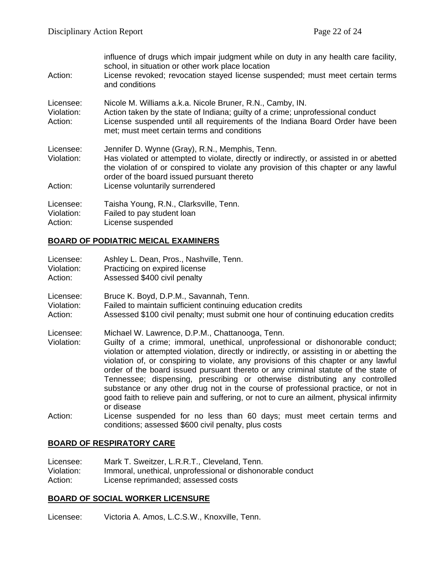| Action:                            | influence of drugs which impair judgment while on duty in any health care facility,<br>school, in situation or other work place location<br>License revoked; revocation stayed license suspended; must meet certain terms<br>and conditions                                                                        |
|------------------------------------|--------------------------------------------------------------------------------------------------------------------------------------------------------------------------------------------------------------------------------------------------------------------------------------------------------------------|
| Licensee:<br>Violation:<br>Action: | Nicole M. Williams a.k.a. Nicole Bruner, R.N., Camby, IN.<br>Action taken by the state of Indiana; guilty of a crime; unprofessional conduct<br>License suspended until all requirements of the Indiana Board Order have been<br>met; must meet certain terms and conditions                                       |
| Licensee:<br>Violation:<br>Action: | Jennifer D. Wynne (Gray), R.N., Memphis, Tenn.<br>Has violated or attempted to violate, directly or indirectly, or assisted in or abetted<br>the violation of or conspired to violate any provision of this chapter or any lawful<br>order of the board issued pursuant thereto<br>License voluntarily surrendered |
| Licensee:<br>Violation:<br>Action: | Taisha Young, R.N., Clarksville, Tenn.<br>Failed to pay student loan<br>License suspended                                                                                                                                                                                                                          |

#### **BOARD OF PODIATRIC MEICAL EXAMINERS**

| Licensee:  | Ashley L. Dean, Pros., Nashville, Tenn.                    |  |
|------------|------------------------------------------------------------|--|
| Violation: | Practicing on expired license                              |  |
| Action:    | Assessed \$400 civil penalty                               |  |
| Licensee:  | Bruce K. Boyd, D.P.M., Savannah, Tenn.                     |  |
| Violation: | Failed to maintain sufficient continuing education credits |  |

Action: Assessed \$100 civil penalty; must submit one hour of continuing education credits

Licensee: Michael W. Lawrence, D.P.M., Chattanooga, Tenn.

- Guilty of a crime; immoral, unethical, unprofessional or dishonorable conduct; violation or attempted violation, directly or indirectly, or assisting in or abetting the violation of, or conspiring to violate, any provisions of this chapter or any lawful order of the board issued pursuant thereto or any criminal statute of the state of Tennessee; dispensing, prescribing or otherwise distributing any controlled substance or any other drug not in the course of professional practice, or not in good faith to relieve pain and suffering, or not to cure an ailment, physical infirmity or disease
- Action: License suspended for no less than 60 days; must meet certain terms and conditions; assessed \$600 civil penalty, plus costs

#### **BOARD OF RESPIRATORY CARE**

| Licensee:  | Mark T. Sweitzer, L.R.R.T., Cleveland, Tenn.               |
|------------|------------------------------------------------------------|
| Violation: | Immoral, unethical, unprofessional or dishonorable conduct |
| Action:    | License reprimanded; assessed costs                        |

#### **BOARD OF SOCIAL WORKER LICENSURE**

Licensee: Victoria A. Amos, L.C.S.W., Knoxville, Tenn.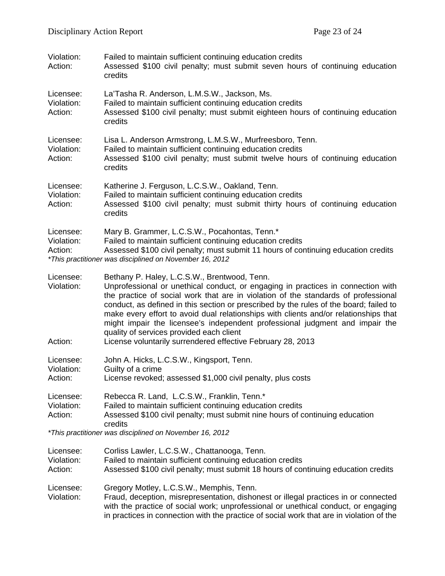| Violation:<br>Action:              | Failed to maintain sufficient continuing education credits<br>Assessed \$100 civil penalty; must submit seven hours of continuing education<br>credits                                                                                                                                                                                                                                                                                                                                                                                                                                              |
|------------------------------------|-----------------------------------------------------------------------------------------------------------------------------------------------------------------------------------------------------------------------------------------------------------------------------------------------------------------------------------------------------------------------------------------------------------------------------------------------------------------------------------------------------------------------------------------------------------------------------------------------------|
| Licensee:<br>Violation:<br>Action: | La'Tasha R. Anderson, L.M.S.W., Jackson, Ms.<br>Failed to maintain sufficient continuing education credits<br>Assessed \$100 civil penalty; must submit eighteen hours of continuing education<br>credits                                                                                                                                                                                                                                                                                                                                                                                           |
| Licensee:<br>Violation:<br>Action: | Lisa L. Anderson Armstrong, L.M.S.W., Murfreesboro, Tenn.<br>Failed to maintain sufficient continuing education credits<br>Assessed \$100 civil penalty; must submit twelve hours of continuing education<br>credits                                                                                                                                                                                                                                                                                                                                                                                |
| Licensee:<br>Violation:<br>Action: | Katherine J. Ferguson, L.C.S.W., Oakland, Tenn.<br>Failed to maintain sufficient continuing education credits<br>Assessed \$100 civil penalty; must submit thirty hours of continuing education<br>credits                                                                                                                                                                                                                                                                                                                                                                                          |
| Licensee:<br>Violation:<br>Action: | Mary B. Grammer, L.C.S.W., Pocahontas, Tenn.*<br>Failed to maintain sufficient continuing education credits<br>Assessed \$100 civil penalty; must submit 11 hours of continuing education credits<br>*This practitioner was disciplined on November 16, 2012                                                                                                                                                                                                                                                                                                                                        |
| Licensee:<br>Violation:<br>Action: | Bethany P. Haley, L.C.S.W., Brentwood, Tenn.<br>Unprofessional or unethical conduct, or engaging in practices in connection with<br>the practice of social work that are in violation of the standards of professional<br>conduct, as defined in this section or prescribed by the rules of the board; failed to<br>make every effort to avoid dual relationships with clients and/or relationships that<br>might impair the licensee's independent professional judgment and impair the<br>quality of services provided each client<br>License voluntarily surrendered effective February 28, 2013 |
| Licensee:<br>Violation:<br>Action: | John A. Hicks, L.C.S.W., Kingsport, Tenn.<br>Guilty of a crime<br>License revoked; assessed \$1,000 civil penalty, plus costs                                                                                                                                                                                                                                                                                                                                                                                                                                                                       |
| Licensee:<br>Violation:<br>Action: | Rebecca R. Land, L.C.S.W., Franklin, Tenn.*<br>Failed to maintain sufficient continuing education credits<br>Assessed \$100 civil penalty; must submit nine hours of continuing education<br>credits                                                                                                                                                                                                                                                                                                                                                                                                |
|                                    | *This practitioner was disciplined on November 16, 2012                                                                                                                                                                                                                                                                                                                                                                                                                                                                                                                                             |
| Licensee:<br>Violation:<br>Action: | Corliss Lawler, L.C.S.W., Chattanooga, Tenn.<br>Failed to maintain sufficient continuing education credits<br>Assessed \$100 civil penalty; must submit 18 hours of continuing education credits                                                                                                                                                                                                                                                                                                                                                                                                    |
| Licensee:<br>Violation:            | Gregory Motley, L.C.S.W., Memphis, Tenn.<br>Fraud, deception, misrepresentation, dishonest or illegal practices in or connected<br>with the practice of social work; unprofessional or unethical conduct, or engaging<br>in practices in connection with the practice of social work that are in violation of the                                                                                                                                                                                                                                                                                   |